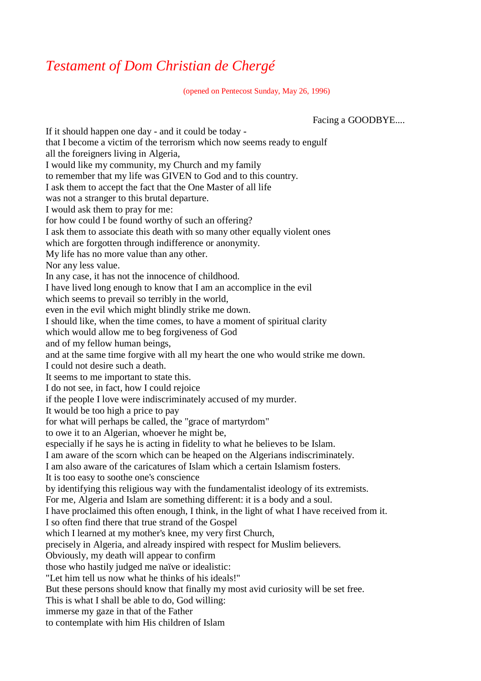## *Testament of Dom Christian de Chergé*

(opened on Pentecost Sunday, May 26, 1996)

Facing a GOODBYE....

If it should happen one day - and it could be today that I become a victim of the terrorism which now seems ready to engulf all the foreigners living in Algeria, I would like my community, my Church and my family to remember that my life was GIVEN to God and to this country. I ask them to accept the fact that the One Master of all life was not a stranger to this brutal departure. I would ask them to pray for me: for how could I be found worthy of such an offering? I ask them to associate this death with so many other equally violent ones which are forgotten through indifference or anonymity. My life has no more value than any other. Nor any less value. In any case, it has not the innocence of childhood. I have lived long enough to know that I am an accomplice in the evil which seems to prevail so terribly in the world, even in the evil which might blindly strike me down. I should like, when the time comes, to have a moment of spiritual clarity which would allow me to beg forgiveness of God and of my fellow human beings, and at the same time forgive with all my heart the one who would strike me down. I could not desire such a death. It seems to me important to state this. I do not see, in fact, how I could rejoice if the people I love were indiscriminately accused of my murder. It would be too high a price to pay for what will perhaps be called, the "grace of martyrdom" to owe it to an Algerian, whoever he might be, especially if he says he is acting in fidelity to what he believes to be Islam. I am aware of the scorn which can be heaped on the Algerians indiscriminately. I am also aware of the caricatures of Islam which a certain Islamism fosters. It is too easy to soothe one's conscience by identifying this religious way with the fundamentalist ideology of its extremists. For me, Algeria and Islam are something different: it is a body and a soul. I have proclaimed this often enough, I think, in the light of what I have received from it. I so often find there that true strand of the Gospel which I learned at my mother's knee, my very first Church, precisely in Algeria, and already inspired with respect for Muslim believers. Obviously, my death will appear to confirm those who hastily judged me naïve or idealistic: "Let him tell us now what he thinks of his ideals!" But these persons should know that finally my most avid curiosity will be set free. This is what I shall be able to do, God willing: immerse my gaze in that of the Father to contemplate with him His children of Islam